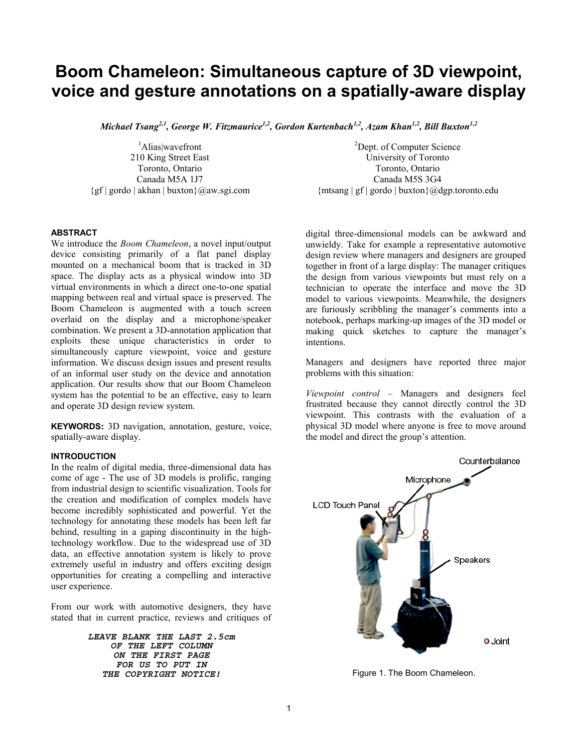# **Boom Chameleon: Simultaneous capture of 3D viewpoint, voice and gesture annotations on a spatially-aware display**

*Michael Tsang<sup>2,1</sup>, George W. Fitzmaurice<sup>1,2</sup>, Gordon Kurtenbach<sup>1,2</sup>, Azam Khan<sup>1,2</sup>, Bill Buxton<sup>1,2</sup>* 

1 Alias|wavefront 210 King Street East Toronto, Ontario Canada M5A 1J7  $\{gf \mid \text{gordo} \mid \text{akhan} \mid \text{buxton}\}\text{@aw.sgi.com}$ 

<sup>2</sup>Dept. of Computer Science University of Toronto Toronto, Ontario Canada M5S 3G4  ${\mathfrak{Im}} \left[ \text{g} \right]$  gordo  ${\mathfrak{b}}$  buxton ${\mathfrak{h}}$ @dgp.toronto.edu

# **ABSTRACT**

We introduce the *Boom Chameleon*, a novel input/output device consisting primarily of a flat panel display mounted on a mechanical boom that is tracked in 3D space. The display acts as a physical window into 3D virtual environments in which a direct one-to-one spatial mapping between real and virtual space is preserved. The Boom Chameleon is augmented with a touch screen overlaid on the display and a microphone/speaker combination. We present a 3D-annotation application that exploits these unique characteristics in order to simultaneously capture viewpoint, voice and gesture information. We discuss design issues and present results of an informal user study on the device and annotation application. Our results show that our Boom Chameleon system has the potential to be an effective, easy to learn and operate 3D design review system.

**KEYWORDS:** 3D navigation, annotation, gesture, voice, spatially-aware display.

## **INTRODUCTION**

In the realm of digital media, three-dimensional data has come of age - The use of 3D models is prolific, ranging from industrial design to scientific visualization. Tools for the creation and modification of complex models have become incredibly sophisticated and powerful. Yet the technology for annotating these models has been left far behind, resulting in a gaping discontinuity in the hightechnology workflow. Due to the widespread use of 3D data, an effective annotation system is likely to prove extremely useful in industry and offers exciting design opportunities for creating a compelling and interactive user experience.

From our work with automotive designers, they have stated that in current practice, reviews and critiques of

> *LEAVE BLANK THE LAST 2.5cm OF THE LEFT COLUMN ON THE FIRST PAGE FOR US TO PUT IN*  **THE COPYRIGHT NOTICE! Figure 1. The Boom Chameleon.**

digital three-dimensional models can be awkward and unwieldy. Take for example a representative automotive design review where managers and designers are grouped together in front of a large display: The manager critiques the design from various viewpoints but must rely on a technician to operate the interface and move the 3D model to various viewpoints. Meanwhile, the designers are furiously scribbling the manager's comments into a notebook, perhaps marking-up images of the 3D model or making quick sketches to capture the manager's intentions.

Managers and designers have reported three major problems with this situation:

*Viewpoint control* – Managers and designers feel frustrated because they cannot directly control the 3D viewpoint. This contrasts with the evaluation of a physical 3D model where anyone is free to move around the model and direct the group's attention.

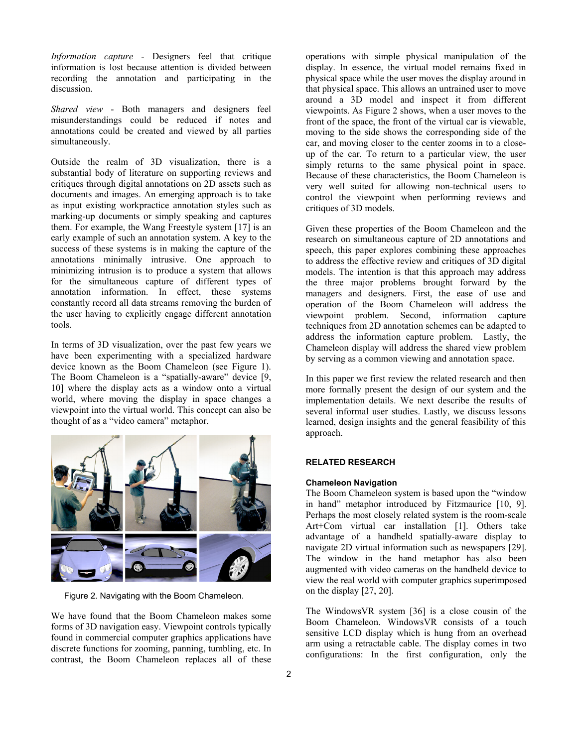*Information capture* - Designers feel that critique information is lost because attention is divided between recording the annotation and participating in the discussion.

*Shared view* - Both managers and designers feel misunderstandings could be reduced if notes and annotations could be created and viewed by all parties simultaneously.

Outside the realm of 3D visualization, there is a substantial body of literature on supporting reviews and critiques through digital annotations on 2D assets such as documents and images. An emerging approach is to take as input existing workpractice annotation styles such as marking-up documents or simply speaking and captures them. For example, the Wang Freestyle system [[17\]](#page-9-0) is an early example of such an annotation system. A key to the success of these systems is in making the capture of the annotations minimally intrusive. One approach to minimizing intrusion is to produce a system that allows for the simultaneous capture of different types of annotation information. In effect, these systems constantly record all data streams removing the burden of the user having to explicitly engage different annotation tools.

In terms of 3D visualization, over the past few years we have been experimenting with a specialized hardware device known as the Boom Chameleon (see Figure 1). The Boom Chameleon is a "spatially-aware" device [[9,](#page-8-0) [10\]](#page-8-1) where the display acts as a window onto a virtual world, where moving the display in space changes a viewpoint into the virtual world. This concept can also be thought of as a "video camera" metaphor.



Figure 2. Navigating with the Boom Chameleon.

We have found that the Boom Chameleon makes some forms of 3D navigation easy. Viewpoint controls typically found in commercial computer graphics applications have discrete functions for zooming, panning, tumbling, etc. In contrast, the Boom Chameleon replaces all of these

operations with simple physical manipulation of the display. In essence, the virtual model remains fixed in physical space while the user moves the display around in that physical space. This allows an untrained user to move around a 3D model and inspect it from different viewpoints. As Figure 2 shows, when a user moves to the front of the space, the front of the virtual car is viewable, moving to the side shows the corresponding side of the car, and moving closer to the center zooms in to a closeup of the car. To return to a particular view, the user simply returns to the same physical point in space. Because of these characteristics, the Boom Chameleon is very well suited for allowing non-technical users to control the viewpoint when performing reviews and critiques of 3D models.

Given these properties of the Boom Chameleon and the research on simultaneous capture of 2D annotations and speech, this paper explores combining these approaches to address the effective review and critiques of 3D digital models. The intention is that this approach may address the three major problems brought forward by the managers and designers. First, the ease of use and operation of the Boom Chameleon will address the viewpoint problem. Second, information capture techniques from 2D annotation schemes can be adapted to address the information capture problem. Lastly, the Chameleon display will address the shared view problem by serving as a common viewing and annotation space.

In this paper we first review the related research and then more formally present the design of our system and the implementation details. We next describe the results of several informal user studies. Lastly, we discuss lessons learned, design insights and the general feasibility of this approach.

# **RELATED RESEARCH**

# **Chameleon Navigation**

The Boom Chameleon system is based upon the "window in hand" metaphor introduced by Fitzmaurice [\[10,](#page-8-1) [9\]](#page-8-2). Perhaps the most closely related system is the room-scale Art+Com virtual car installation [[1\]](#page-8-3). Others take advantage of a handheld spatially-aware display to navigate 2D virtual information such as newspapers [[29\]](#page-9-1). The window in the hand metaphor has also been augmented with video cameras on the handheld device to view the real world with computer graphics superimposed on the display [[27,](#page-9-2) [20\]](#page-9-3).

The WindowsVR system [[36\]](#page-9-4) is a close cousin of the Boom Chameleon. WindowsVR consists of a touch sensitive LCD display which is hung from an overhead arm using a retractable cable. The display comes in two configurations: In the first configuration, only the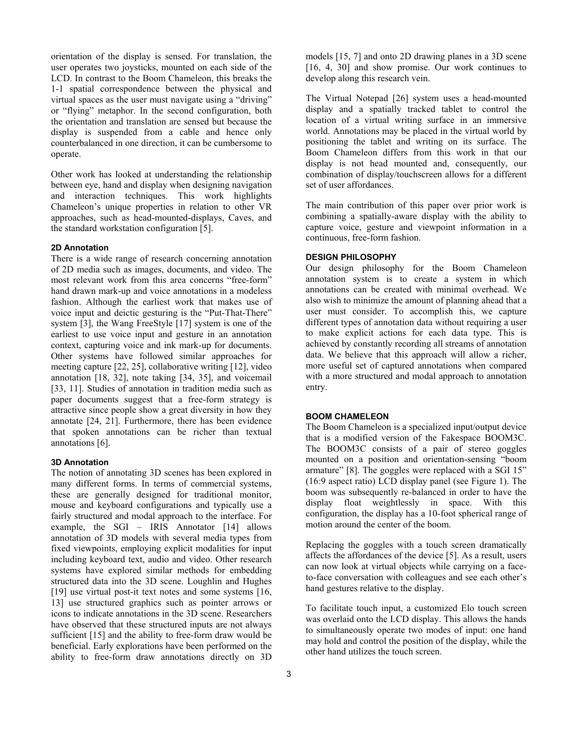orientation of the display is sensed. For translation, the user operates two joysticks, mounted on each side of the LCD. In contrast to the Boom Chameleon, this breaks the 1-1 spatial correspondence between the physical and virtual spaces as the user must navigate using a "driving" or "flying" metaphor. In the second configuration, both the orientation and translation are sensed but because the display is suspended from a cable and hence only counterbalanced in one direction, it can be cumbersome to operate.

Other work has looked at understanding the relationship between eye, hand and display when designing navigation and interaction techniques. This work highlights Chameleon's unique properties in relation to other VR approaches, such as head-mounted-displays, Caves, and the standard workstation configuration [\[5\]](#page-8-4).

## **2D Annotation**

There is a wide range of research concerning annotation of 2D media such as images, documents, and video. The most relevant work from this area concerns "free-form" hand drawn mark-up and voice annotations in a modeless fashion. Although the earliest work that makes use of voice input and deictic gesturing is the "Put-That-There" system [[3\],](#page-8-5) the Wang FreeStyle [[17\]](#page-9-0) system is one of the earliest to use voice input and gesture in an annotation context, capturing voice and ink mark-up for documents. Other systems have followed similar approaches for meeting capture [[22,](#page-9-5) [25\]](#page-9-6), collaborative writing [\[12\]](#page-8-6), video annotation [[18,](#page-9-7) [32\]](#page-9-8), note taking [[34,](#page-9-9) [35\]](#page-9-10), and voicemail [[33,](#page-9-11) [11\]](#page-8-7). Studies of annotation in tradition media such as paper documents suggest that a free-form strategy is attractive since people show a great diversity in how they annotate [[24,](#page-9-12) [21\]](#page-9-13). Furthermore, there has been evidence that spoken annotations can be richer than textual annotations [[6\]](#page-8-8).

#### **3D Annotation**

The notion of annotating 3D scenes has been explored in many different forms. In terms of commercial systems, these are generally designed for traditional monitor, mouse and keyboard configurations and typically use a fairly structured and modal approach to the interface. For example, the SGI – IRIS Annotator [[14\]](#page-9-14) allows annotation of 3D models with several media types from fixed viewpoints, employing explicit modalities for input including keyboard text, audio and video. Other research systems have explored similar methods for embedding structured data into the 3D scene. Loughlin and Hughes [[19\]](#page-9-15) use virtual post-it text notes and some systems [[16,](#page-9-16) [13\]](#page-9-17) use structured graphics such as pointer arrows or icons to indicate annotations in the 3D scene. Researchers have observed that these structured inputs are not always sufficient [[15\]](#page-9-18) and the ability to free-form draw would be beneficial. Early explorations have been performed on the ability to free-form draw annotations directly on 3D

models [\[15,](#page-9-18) [7\]](#page-8-9) and onto 2D drawing planes in a 3D scene [\[16,](#page-9-16) [4,](#page-8-10) [30\]](#page-9-19) and show promise. Our work continues to develop along this research vein.

The Virtual Notepad [[26\]](#page-9-20) system uses a head-mounted display and a spatially tracked tablet to control the location of a virtual writing surface in an immersive world. Annotations may be placed in the virtual world by positioning the tablet and writing on its surface. The Boom Chameleon differs from this work in that our display is not head mounted and, consequently, our combination of display/touchscreen allows for a different set of user affordances.

The main contribution of this paper over prior work is combining a spatially-aware display with the ability to capture voice, gesture and viewpoint information in a continuous, free-form fashion.

#### **DESIGN PHILOSOPHY**

Our design philosophy for the Boom Chameleon annotation system is to create a system in which annotations can be created with minimal overhead. We also wish to minimize the amount of planning ahead that a user must consider. To accomplish this, we capture different types of annotation data without requiring a user to make explicit actions for each data type. This is achieved by constantly recording all streams of annotation data. We believe that this approach will allow a richer, more useful set of captured annotations when compared with a more structured and modal approach to annotation entry.

#### **BOOM CHAMELEON**

The Boom Chameleon is a specialized input/output device that is a modified version of the Fakespace BOOM3C. The BOOM3C consists of a pair of stereo goggles mounted on a position and orientation-sensing "boom armature" [\[8\]](#page-8-11). The goggles were replaced with a SGI 15" (16:9 aspect ratio) LCD display panel (see Figure 1). The boom was subsequently re-balanced in order to have the display float weightlessly in space. With this configuration, the display has a 10-foot spherical range of motion around the center of the boom.

Replacing the goggles with a touch screen dramatically affects the affordances of the device [\[5\]](#page-8-4). As a result, users can now look at virtual objects while carrying on a faceto-face conversation with colleagues and see each other's hand gestures relative to the display.

To facilitate touch input, a customized Elo touch screen was overlaid onto the LCD display. This allows the hands to simultaneously operate two modes of input: one hand may hold and control the position of the display, while the other hand utilizes the touch screen.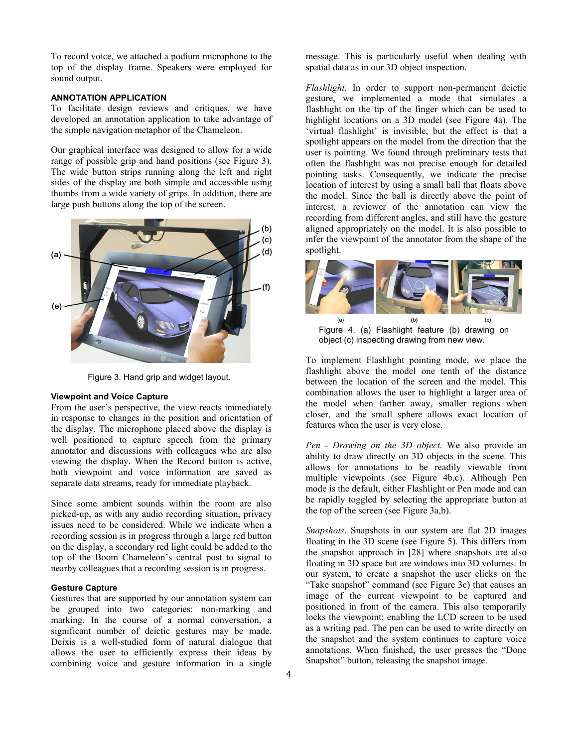To record voice, we attached a podium microphone to the top of the display frame. Speakers were employed for sound output.

## **ANNOTATION APPLICATION**

To facilitate design reviews and critiques, we have developed an annotation application to take advantage of the simple navigation metaphor of the Chameleon.

Our graphical interface was designed to allow for a wide range of possible grip and hand positions (see Figure 3). The wide button strips running along the left and right sides of the display are both simple and accessible using thumbs from a wide variety of grips. In addition, there are large push buttons along the top of the screen.



Figure 3. Hand grip and widget layout.

# **Viewpoint and Voice Capture**

From the user's perspective, the view reacts immediately in response to changes in the position and orientation of the display. The microphone placed above the display is well positioned to capture speech from the primary annotator and discussions with colleagues who are also viewing the display. When the Record button is active, both viewpoint and voice information are saved as separate data streams, ready for immediate playback.

Since some ambient sounds within the room are also picked-up, as with any audio recording situation, privacy issues need to be considered. While we indicate when a recording session is in progress through a large red button on the display, a secondary red light could be added to the top of the Boom Chameleon's central post to signal to nearby colleagues that a recording session is in progress.

#### **Gesture Capture**

Gestures that are supported by our annotation system can be grouped into two categories: non-marking and marking. In the course of a normal conversation, a significant number of deictic gestures may be made. Deixis is a well-studied form of natural dialogue that allows the user to efficiently express their ideas by combining voice and gesture information in a single

message. This is particularly useful when dealing with spatial data as in our 3D object inspection.

*Flashlight*. In order to support non-permanent deictic gesture, we implemented a mode that simulates a flashlight on the tip of the finger which can be used to highlight locations on a 3D model (see Figure 4a). The 'virtual flashlight' is invisible, but the effect is that a spotlight appears on the model from the direction that the user is pointing. We found through preliminary tests that often the flashlight was not precise enough for detailed pointing tasks. Consequently, we indicate the precise location of interest by using a small ball that floats above the model. Since the ball is directly above the point of interest, a reviewer of the annotation can view the recording from different angles, and still have the gesture aligned appropriately on the model. It is also possible to infer the viewpoint of the annotator from the shape of the spotlight.



Figure 4. (a) Flashlight feature (b) drawing on object (c) inspecting drawing from new view.

To implement Flashlight pointing mode, we place the flashlight above the model one tenth of the distance between the location of the screen and the model. This combination allows the user to highlight a larger area of the model when farther away, smaller regions when closer, and the small sphere allows exact location of features when the user is very close.

*Pen - Drawing on the 3D object*. We also provide an ability to draw directly on 3D objects in the scene. This allows for annotations to be readily viewable from multiple viewpoints (see Figure 4b,c). Although Pen mode is the default, either Flashlight or Pen mode and can be rapidly toggled by selecting the appropriate button at the top of the screen (see Figure 3a,b).

*Snapshots*. Snapshots in our system are flat 2D images floating in the 3D scene (see Figure 5). This differs from the snapshot approach in [\[28\]](#page-9-21) where snapshots are also floating in 3D space but are windows into 3D volumes. In our system, to create a snapshot the user clicks on the "Take snapshot" command (see Figure 3c) that causes an image of the current viewpoint to be captured and positioned in front of the camera. This also temporarily locks the viewpoint; enabling the LCD screen to be used as a writing pad. The pen can be used to write directly on the snapshot and the system continues to capture voice annotations. When finished, the user presses the "Done Snapshot" button, releasing the snapshot image.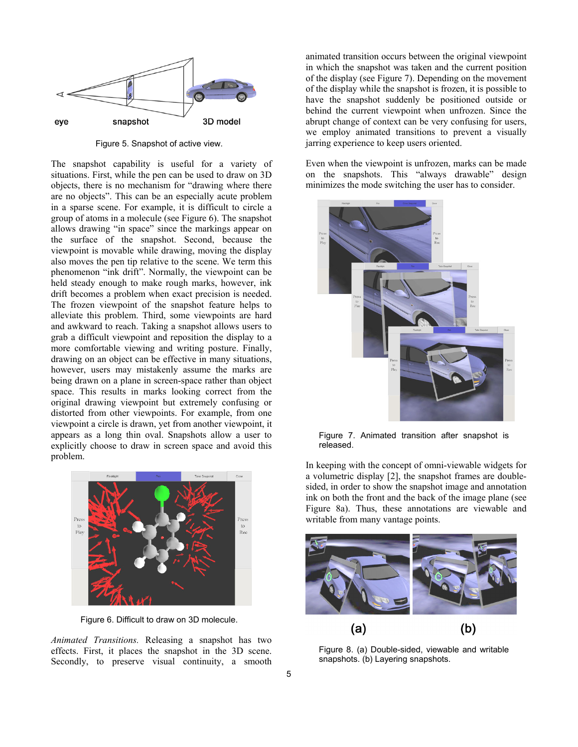

Figure 5. Snapshot of active view.

The snapshot capability is useful for a variety of situations. First, while the pen can be used to draw on 3D objects, there is no mechanism for "drawing where there are no objects". This can be an especially acute problem in a sparse scene. For example, it is difficult to circle a group of atoms in a molecule (see Figure 6). The snapshot allows drawing "in space" since the markings appear on the surface of the snapshot. Second, because the viewpoint is movable while drawing, moving the display also moves the pen tip relative to the scene. We term this phenomenon "ink drift". Normally, the viewpoint can be held steady enough to make rough marks, however, ink drift becomes a problem when exact precision is needed. The frozen viewpoint of the snapshot feature helps to alleviate this problem. Third, some viewpoints are hard and awkward to reach. Taking a snapshot allows users to grab a difficult viewpoint and reposition the display to a more comfortable viewing and writing posture. Finally, drawing on an object can be effective in many situations, however, users may mistakenly assume the marks are being drawn on a plane in screen-space rather than object space. This results in marks looking correct from the original drawing viewpoint but extremely confusing or distorted from other viewpoints. For example, from one viewpoint a circle is drawn, yet from another viewpoint, it appears as a long thin oval. Snapshots allow a user to explicitly choose to draw in screen space and avoid this problem.



Figure 6. Difficult to draw on 3D molecule.

*Animated Transitions.* Releasing a snapshot has two effects. First, it places the snapshot in the 3D scene. Secondly, to preserve visual continuity, a smooth

animated transition occurs between the original viewpoint in which the snapshot was taken and the current position of the display (see Figure 7). Depending on the movement of the display while the snapshot is frozen, it is possible to have the snapshot suddenly be positioned outside or behind the current viewpoint when unfrozen. Since the abrupt change of context can be very confusing for users, we employ animated transitions to prevent a visually jarring experience to keep users oriented.

Even when the viewpoint is unfrozen, marks can be made on the snapshots. This "always drawable" design minimizes the mode switching the user has to consider.



Figure 7. Animated transition after snapshot is released.

In keeping with the concept of omni-viewable widgets for a volumetric display [[2\]](#page-8-12), the snapshot frames are doublesided, in order to show the snapshot image and annotation ink on both the front and the back of the image plane (see Figure 8a). Thus, these annotations are viewable and writable from many vantage points.



Figure 8. (a) Double-sided, viewable and writable snapshots. (b) Layering snapshots.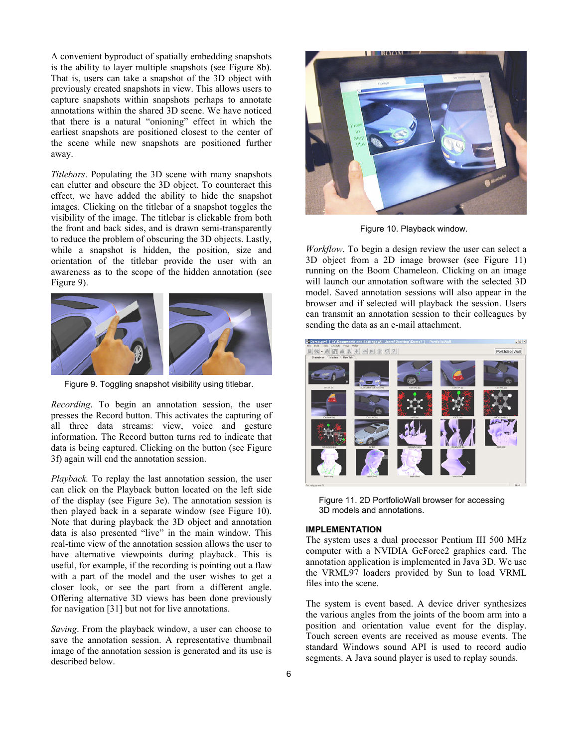A convenient byproduct of spatially embedding snapshots is the ability to layer multiple snapshots (see Figure 8b). That is, users can take a snapshot of the 3D object with previously created snapshots in view. This allows users to capture snapshots within snapshots perhaps to annotate annotations within the shared 3D scene. We have noticed that there is a natural "onioning" effect in which the earliest snapshots are positioned closest to the center of the scene while new snapshots are positioned further away.

*Titlebars*. Populating the 3D scene with many snapshots can clutter and obscure the 3D object. To counteract this effect, we have added the ability to hide the snapshot images. Clicking on the titlebar of a snapshot toggles the visibility of the image. The titlebar is clickable from both the front and back sides, and is drawn semi-transparently to reduce the problem of obscuring the 3D objects. Lastly, while a snapshot is hidden, the position, size and orientation of the titlebar provide the user with an awareness as to the scope of the hidden annotation (see Figure 9).



Figure 9. Toggling snapshot visibility using titlebar.

*Recording*. To begin an annotation session, the user presses the Record button. This activates the capturing of all three data streams: view, voice and gesture information. The Record button turns red to indicate that data is being captured. Clicking on the button (see Figure 3f) again will end the annotation session.

*Playback.* To replay the last annotation session, the user can click on the Playback button located on the left side of the display (see Figure 3e). The annotation session is then played back in a separate window (see Figure 10). Note that during playback the 3D object and annotation data is also presented "live" in the main window. This real-time view of the annotation session allows the user to have alternative viewpoints during playback. This is useful, for example, if the recording is pointing out a flaw with a part of the model and the user wishes to get a closer look, or see the part from a different angle. Offering alternative 3D views has been done previously for navigation [\[31\]](#page-9-22) but not for live annotations.

*Saving*. From the playback window, a user can choose to save the annotation session. A representative thumbnail image of the annotation session is generated and its use is described below.



Figure 10. Playback window.

*Workflow*. To begin a design review the user can select a 3D object from a 2D image browser (see Figure 11) running on the Boom Chameleon. Clicking on an image will launch our annotation software with the selected 3D model. Saved annotation sessions will also appear in the browser and if selected will playback the session. Users can transmit an annotation session to their colleagues by sending the data as an e-mail attachment.



Figure 11. 2D PortfolioWall browser for accessing 3D models and annotations.

#### **IMPLEMENTATION**

The system uses a dual processor Pentium III 500 MHz computer with a NVIDIA GeForce2 graphics card. The annotation application is implemented in Java 3D. We use the VRML97 loaders provided by Sun to load VRML files into the scene.

The system is event based. A device driver synthesizes the various angles from the joints of the boom arm into a position and orientation value event for the display. Touch screen events are received as mouse events. The standard Windows sound API is used to record audio segments. A Java sound player is used to replay sounds.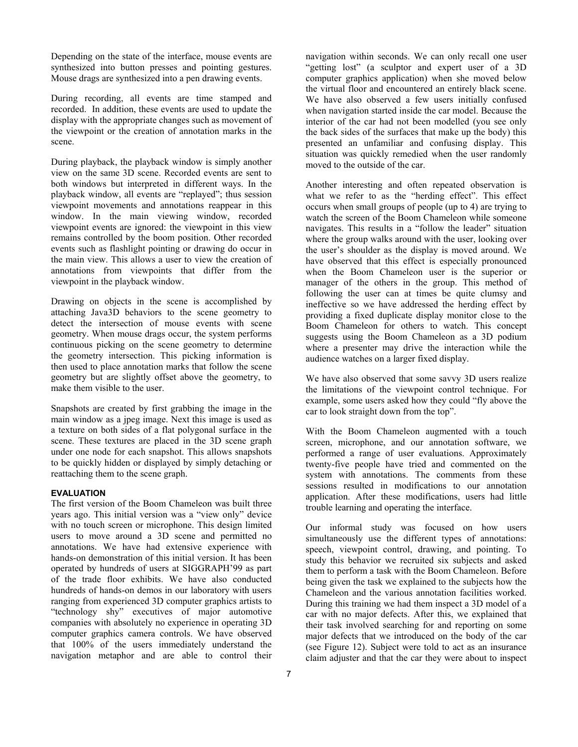Depending on the state of the interface, mouse events are synthesized into button presses and pointing gestures. Mouse drags are synthesized into a pen drawing events.

During recording, all events are time stamped and recorded. In addition, these events are used to update the display with the appropriate changes such as movement of the viewpoint or the creation of annotation marks in the scene.

During playback, the playback window is simply another view on the same 3D scene. Recorded events are sent to both windows but interpreted in different ways. In the playback window, all events are "replayed"; thus session viewpoint movements and annotations reappear in this window. In the main viewing window, recorded viewpoint events are ignored: the viewpoint in this view remains controlled by the boom position. Other recorded events such as flashlight pointing or drawing do occur in the main view. This allows a user to view the creation of annotations from viewpoints that differ from the viewpoint in the playback window.

Drawing on objects in the scene is accomplished by attaching Java3D behaviors to the scene geometry to detect the intersection of mouse events with scene geometry. When mouse drags occur, the system performs continuous picking on the scene geometry to determine the geometry intersection. This picking information is then used to place annotation marks that follow the scene geometry but are slightly offset above the geometry, to make them visible to the user.

Snapshots are created by first grabbing the image in the main window as a jpeg image. Next this image is used as a texture on both sides of a flat polygonal surface in the scene. These textures are placed in the 3D scene graph under one node for each snapshot. This allows snapshots to be quickly hidden or displayed by simply detaching or reattaching them to the scene graph.

# **EVALUATION**

The first version of the Boom Chameleon was built three years ago. This initial version was a "view only" device with no touch screen or microphone. This design limited users to move around a 3D scene and permitted no annotations. We have had extensive experience with hands-on demonstration of this initial version. It has been operated by hundreds of users at SIGGRAPH'99 as part of the trade floor exhibits. We have also conducted hundreds of hands-on demos in our laboratory with users ranging from experienced 3D computer graphics artists to "technology shy" executives of major automotive companies with absolutely no experience in operating 3D computer graphics camera controls. We have observed that 100% of the users immediately understand the navigation metaphor and are able to control their

navigation within seconds. We can only recall one user "getting lost" (a sculptor and expert user of a 3D computer graphics application) when she moved below the virtual floor and encountered an entirely black scene. We have also observed a few users initially confused when navigation started inside the car model. Because the interior of the car had not been modelled (you see only the back sides of the surfaces that make up the body) this presented an unfamiliar and confusing display. This situation was quickly remedied when the user randomly moved to the outside of the car.

Another interesting and often repeated observation is what we refer to as the "herding effect". This effect occurs when small groups of people (up to 4) are trying to watch the screen of the Boom Chameleon while someone navigates. This results in a "follow the leader" situation where the group walks around with the user, looking over the user's shoulder as the display is moved around. We have observed that this effect is especially pronounced when the Boom Chameleon user is the superior or manager of the others in the group. This method of following the user can at times be quite clumsy and ineffective so we have addressed the herding effect by providing a fixed duplicate display monitor close to the Boom Chameleon for others to watch. This concept suggests using the Boom Chameleon as a 3D podium where a presenter may drive the interaction while the audience watches on a larger fixed display.

We have also observed that some savvy 3D users realize the limitations of the viewpoint control technique. For example, some users asked how they could "fly above the car to look straight down from the top".

With the Boom Chameleon augmented with a touch screen, microphone, and our annotation software, we performed a range of user evaluations. Approximately twenty-five people have tried and commented on the system with annotations. The comments from these sessions resulted in modifications to our annotation application. After these modifications, users had little trouble learning and operating the interface.

Our informal study was focused on how users simultaneously use the different types of annotations: speech, viewpoint control, drawing, and pointing. To study this behavior we recruited six subjects and asked them to perform a task with the Boom Chameleon. Before being given the task we explained to the subjects how the Chameleon and the various annotation facilities worked. During this training we had them inspect a 3D model of a car with no major defects. After this, we explained that their task involved searching for and reporting on some major defects that we introduced on the body of the car (see Figure 12). Subject were told to act as an insurance claim adjuster and that the car they were about to inspect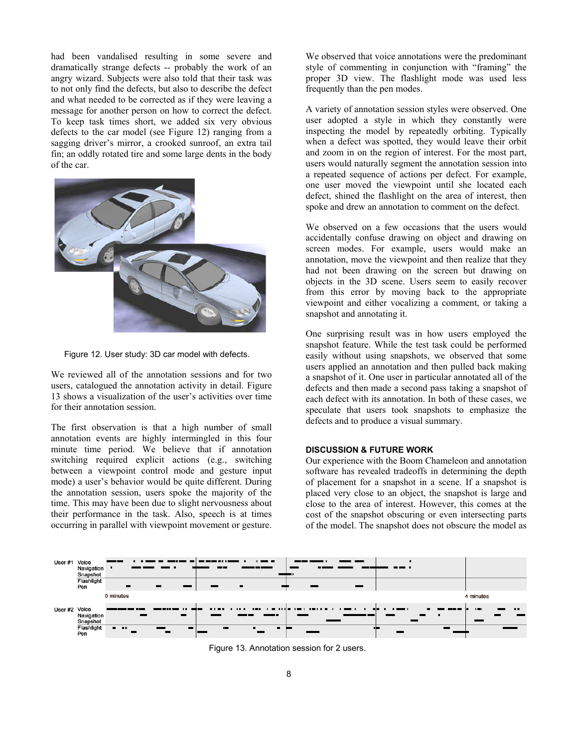had been vandalised resulting in some severe and dramatically strange defects -- probably the work of an angry wizard. Subjects were also told that their task was to not only find the defects, but also to describe the defect and what needed to be corrected as if they were leaving a message for another person on how to correct the defect. To keep task times short, we added six very obvious defects to the car model (see Figure 12) ranging from a sagging driver's mirror, a crooked sunroof, an extra tail fin; an oddly rotated tire and some large dents in the body of the car.



Figure 12. User study: 3D car model with defects.

We reviewed all of the annotation sessions and for two users, catalogued the annotation activity in detail. Figure 13 shows a visualization of the user's activities over time for their annotation session.

The first observation is that a high number of small annotation events are highly intermingled in this four minute time period. We believe that if annotation switching required explicit actions (e.g., switching between a viewpoint control mode and gesture input mode) a user's behavior would be quite different. During the annotation session, users spoke the majority of the time. This may have been due to slight nervousness about their performance in the task. Also, speech is at times occurring in parallel with viewpoint movement or gesture. We observed that voice annotations were the predominant style of commenting in conjunction with "framing" the proper 3D view. The flashlight mode was used less frequently than the pen modes.

A variety of annotation session styles were observed. One user adopted a style in which they constantly were inspecting the model by repeatedly orbiting. Typically when a defect was spotted, they would leave their orbit and zoom in on the region of interest. For the most part, users would naturally segment the annotation session into a repeated sequence of actions per defect. For example, one user moved the viewpoint until she located each defect, shined the flashlight on the area of interest, then spoke and drew an annotation to comment on the defect.

We observed on a few occasions that the users would accidentally confuse drawing on object and drawing on screen modes. For example, users would make an annotation, move the viewpoint and then realize that they had not been drawing on the screen but drawing on objects in the 3D scene. Users seem to easily recover from this error by moving back to the appropriate viewpoint and either vocalizing a comment, or taking a snapshot and annotating it.

One surprising result was in how users employed the snapshot feature. While the test task could be performed easily without using snapshots, we observed that some users applied an annotation and then pulled back making a snapshot of it. One user in particular annotated all of the defects and then made a second pass taking a snapshot of each defect with its annotation. In both of these cases, we speculate that users took snapshots to emphasize the defects and to produce a visual summary.

#### **DISCUSSION & FUTURE WORK**

Our experience with the Boom Chameleon and annotation software has revealed tradeoffs in determining the depth of placement for a snapshot in a scene. If a snapshot is placed very close to an object, the snapshot is large and close to the area of interest. However, this comes at the cost of the snapshot obscuring or even intersecting parts of the model. The snapshot does not obscure the model as



Figure 13. Annotation session for 2 users.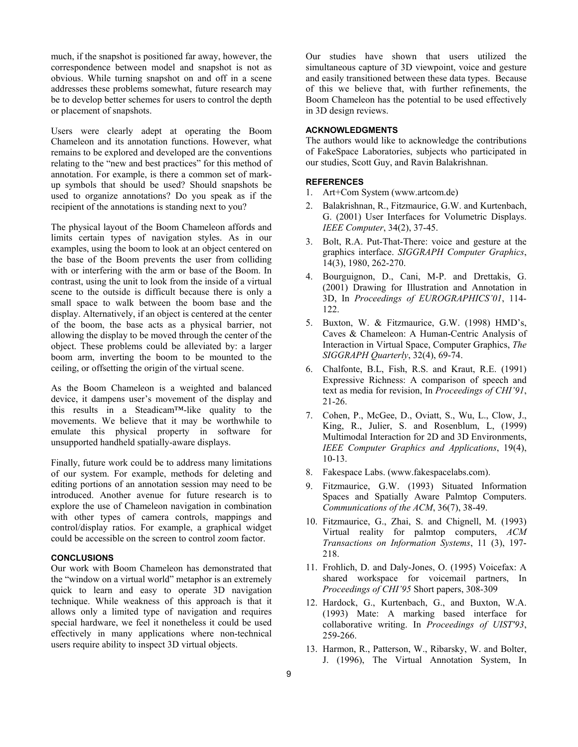much, if the snapshot is positioned far away, however, the correspondence between model and snapshot is not as obvious. While turning snapshot on and off in a scene addresses these problems somewhat, future research may be to develop better schemes for users to control the depth or placement of snapshots.

Users were clearly adept at operating the Boom Chameleon and its annotation functions. However, what remains to be explored and developed are the conventions relating to the "new and best practices" for this method of annotation. For example, is there a common set of markup symbols that should be used? Should snapshots be used to organize annotations? Do you speak as if the recipient of the annotations is standing next to you?

The physical layout of the Boom Chameleon affords and limits certain types of navigation styles. As in our examples, using the boom to look at an object centered on the base of the Boom prevents the user from colliding with or interfering with the arm or base of the Boom. In contrast, using the unit to look from the inside of a virtual scene to the outside is difficult because there is only a small space to walk between the boom base and the display. Alternatively, if an object is centered at the center of the boom, the base acts as a physical barrier, not allowing the display to be moved through the center of the object. These problems could be alleviated by: a larger boom arm, inverting the boom to be mounted to the ceiling, or offsetting the origin of the virtual scene.

As the Boom Chameleon is a weighted and balanced device, it dampens user's movement of the display and this results in a Steadicam™-like quality to the movements. We believe that it may be worthwhile to emulate this physical property in software for unsupported handheld spatially-aware displays.

Finally, future work could be to address many limitations of our system. For example, methods for deleting and editing portions of an annotation session may need to be introduced. Another avenue for future research is to explore the use of Chameleon navigation in combination with other types of camera controls, mappings and control/display ratios. For example, a graphical widget could be accessible on the screen to control zoom factor.

#### **CONCLUSIONS**

Our work with Boom Chameleon has demonstrated that the "window on a virtual world" metaphor is an extremely quick to learn and easy to operate 3D navigation technique. While weakness of this approach is that it allows only a limited type of navigation and requires special hardware, we feel it nonetheless it could be used effectively in many applications where non-technical users require ability to inspect 3D virtual objects.

Our studies have shown that users utilized the simultaneous capture of 3D viewpoint, voice and gesture and easily transitioned between these data types. Because of this we believe that, with further refinements, the Boom Chameleon has the potential to be used effectively in 3D design reviews.

# **ACKNOWLEDGMENTS**

The authors would like to acknowledge the contributions of FakeSpace Laboratories, subjects who participated in our studies, Scott Guy, and Ravin Balakrishnan.

## **REFERENCES**

- <span id="page-8-3"></span>1. Art+Com System [\(www.artcom.de](http://www.artcom.de/))
- <span id="page-8-12"></span>2. Balakrishnan, R., Fitzmaurice, G.W. and Kurtenbach, G. (2001) User Interfaces for Volumetric Displays. *IEEE Computer*, 34(2), 37-45.
- <span id="page-8-5"></span>3. Bolt, R.A. Put-That-There: voice and gesture at the graphics interface. *SIGGRAPH Computer Graphics*, 14(3), 1980, 262-270.
- <span id="page-8-10"></span>4. Bourguignon, D., Cani, M-P. and Drettakis, G. (2001) Drawing for Illustration and Annotation in 3D, In *Proceedings of EUROGRAPHICS'01*, 114- 122.
- <span id="page-8-4"></span>5. Buxton, W. & Fitzmaurice, G.W. (1998) HMD's, Caves & Chameleon: A Human-Centric Analysis of Interaction in Virtual Space, Computer Graphics, *The SIGGRAPH Quarterly*, 32(4), 69-74.
- <span id="page-8-8"></span>6. Chalfonte, B.L, Fish, R.S. and Kraut, R.E. (1991) Expressive Richness: A comparison of speech and text as media for revision, In *Proceedings of CHI'91*, 21-26.
- <span id="page-8-9"></span>7. Cohen, P., McGee, D., Oviatt, S., Wu, L., Clow, J., King, R., Julier, S. and Rosenblum, L, (1999) Multimodal Interaction for 2D and 3D Environments, *IEEE Computer Graphics and Applications*, 19(4), 10-13.
- <span id="page-8-11"></span>8. Fakespace Labs. (www.fakespacelabs.com).
- <span id="page-8-0"></span>9. Fitzmaurice, G.W. (1993) Situated Information Spaces and Spatially Aware Palmtop Computers. *Communications of the ACM*, 36(7), 38-49.
- <span id="page-8-2"></span><span id="page-8-1"></span>10. Fitzmaurice, G., Zhai, S. and Chignell, M. (1993) Virtual reality for palmtop computers, *ACM Transactions on Information Systems*, 11 (3), 197- 218.
- <span id="page-8-7"></span>11. Frohlich, D. and Daly-Jones, O. (1995) Voicefax: A shared workspace for voicemail partners, In *Proceedings of CHI'95* Short papers, 308-309
- <span id="page-8-6"></span>12. Hardock, G., Kurtenbach, G., and Buxton, W.A. (1993) Mate: A marking based interface for collaborative writing. In *Proceedings of UIST'93*, 259-266.
- 13. Harmon, R., Patterson, W., Ribarsky, W. and Bolter, J. (1996), The Virtual Annotation System, In